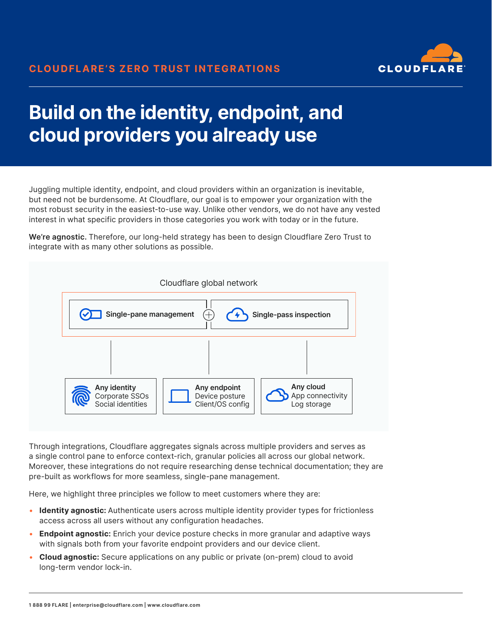

# **Build on the identity, endpoint, and cloud providers you already use**

Juggling multiple identity, endpoint, and cloud providers within an organization is inevitable, but need not be burdensome. At Cloudflare, our goal is to empower your organization with the most robust security in the easiest-to-use way. Unlike other vendors, we do not have any vested interest in what specific providers in those categories you work with today or in the future.

**We're agnostic.** Therefore, our long-held strategy has been to design Cloudflare Zero Trust to integrate with as many other solutions as possible.



Through integrations, Cloudflare aggregates signals across multiple providers and serves as a single control pane to enforce context-rich, granular policies all across our global network. Moreover, these integrations do not require researching dense technical documentation; they are pre-built as workflows for more seamless, single-pane management.

Here, we highlight three principles we follow to meet customers where they are:

- **Identity agnostic:** Authenticate users across multiple identity provider types for frictionless access across all users without any configuration headaches.
- **Endpoint agnostic:** Enrich your device posture checks in more granular and adaptive ways with signals both from your favorite endpoint providers and our device client.
- **Cloud agnostic:** Secure applications on any public or private (on-prem) cloud to avoid long-term vendor lock-in.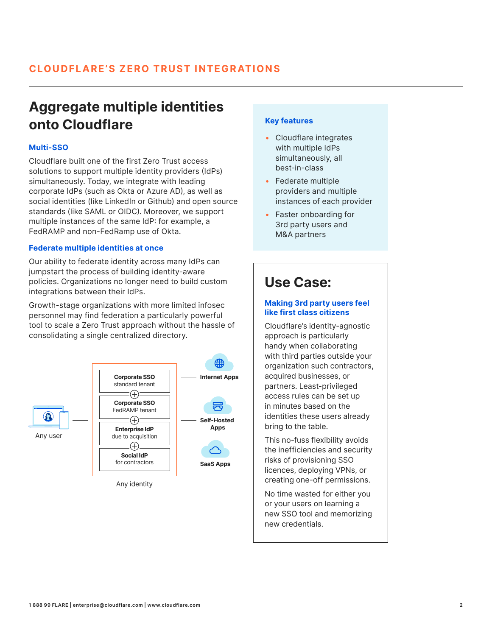# **Aggregate multiple identities onto Cloudflare Key features**

### **Multi-SSO**

Cloudflare built one of the first Zero Trust access solutions to support multiple identity providers (IdPs) simultaneously. Today, we integrate with leading corporate IdPs (such as Okta or Azure AD), as well as social identities (like LinkedIn or Github) and open source standards (like SAML or OIDC). Moreover, we support multiple instances of the same IdP: for example, a FedRAMP and non-FedRamp use of Okta.

### **Federate multiple identities at once**

Our ability to federate identity across many IdPs can jumpstart the process of building identity-aware policies. Organizations no longer need to build custom integrations between their IdPs.

Growth-stage organizations with more limited infosec personnel may find federation a particularly powerful tool to scale a Zero Trust approach without the hassle of consolidating a single centralized directory.



- Cloudflare integrates with multiple IdPs simultaneously, all best-in-class
- Federate multiple providers and multiple instances of each provider
- Faster onboarding for 3rd party users and M&A partners

## **Use Case:**

### **Making 3rd party users feel like first class citizens**

Cloudflare's identity-agnostic approach is particularly handy when collaborating with third parties outside your organization such contractors, acquired businesses, or partners. Least-privileged access rules can be set up in minutes based on the identities these users already bring to the table.

This no-fuss flexibility avoids the inefficiencies and security risks of provisioning SSO licences, deploying VPNs, or creating one-off permissions.

No time wasted for either you or your users on learning a new SSO tool and memorizing new credentials.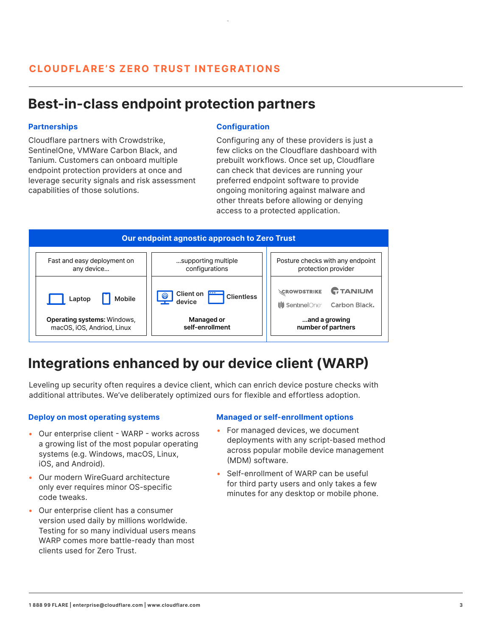## **CLOUDFLARE'S ZERO TRUST INTEGRATIONS**

## **Best-in-class endpoint protection partners**

### **Partnerships**

Cloudflare partners with Crowdstrike, SentinelOne, VMWare Carbon Black, and Tanium. Customers can onboard multiple endpoint protection providers at once and leverage security signals and risk assessment capabilities of those solutions.

### **Configuration**

Configuring any of these providers is just a few clicks on the Cloudflare dashboard with prebuilt workflows. Once set up, Cloudflare can check that devices are running your preferred endpoint software to provide ongoing monitoring against malware and other threats before allowing or denying access to a protected application.



## **Integrations enhanced by our device client (WARP)**

Leveling up security often requires a device client, which can enrich device posture checks with additional attributes. We've deliberately optimized ours for flexible and effortless adoption.

### **Deploy on most operating systems**

- Our enterprise client WARP works across a growing list of the most popular operating systems (e.g. Windows, macOS, Linux, iOS, and Android).
- Our modern WireGuard architecture only ever requires minor OS-specific code tweaks.
- Our enterprise client has a consumer version used daily by millions worldwide. Testing for so many individual users means WARP comes more battle-ready than most clients used for Zero Trust.

### **Managed or self-enrollment options**

- For managed devices, we document deployments with any script-based method across popular mobile device management (MDM) software.
- Self-enrollment of WARP can be useful for third party users and only takes a few minutes for any desktop or mobile phone.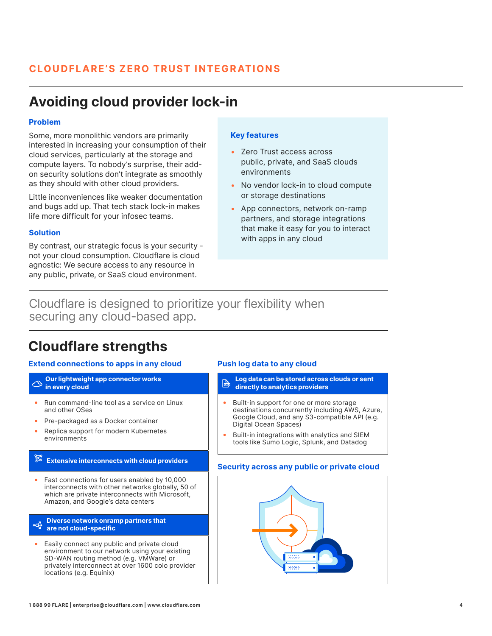## **CLOUDFLARE'S ZERO TRUST INTEGRATIONS**

# **Avoiding cloud provider lock-in**

### **Problem**

Some, more monolithic vendors are primarily interested in increasing your consumption of their cloud services, particularly at the storage and compute layers. To nobody's surprise, their addon security solutions don't integrate as smoothly as they should with other cloud providers.

Little inconveniences like weaker documentation and bugs add up. That tech stack lock-in makes life more difficult for your infosec teams.

### **Solution**

By contrast, our strategic focus is your security not your cloud consumption. Cloudflare is cloud agnostic: We secure access to any resource in any public, private, or SaaS cloud environment.

### **Key features**

- Zero Trust access across public, private, and SaaS clouds environments
- No vendor lock-in to cloud compute or storage destinations
- App connectors, network on-ramp partners, and storage integrations that make it easy for you to interact with apps in any cloud

Cloudflare is designed to prioritize your flexibility when securing any cloud-based app.

## **Cloudflare strengths**

### **Extend connections to apps in any cloud Push log data to any cloud**

### **Our lightweight app connector works in every cloud**

- Run command-line tool as a service on Linux and other OSes
- Pre-packaged as a Docker container
- Replica support for modern Kubernetes environments

### **Extensive interconnects with cloud providers**

• Fast connections for users enabled by 10,000 interconnects with other networks globally, 50 of which are private interconnects with Microsoft, Amazon, and Google's data centers

#### **Diverse network onramp partners that are not cloud-specific**

• Easily connect any public and private cloud environment to our network using your existing SD-WAN routing method (e.g. VMWare) or privately interconnect at over 1600 colo provider locations (e.g. Equinix)

- **Log data can be stored across clouds or sent**<br> *airportly to apply ties providers*  **directly to analytics providers**
- Built-in support for one or more storage destinations concurrently including AWS, Azure, Google Cloud, and any S3-compatible API (e.g. Digital Ocean Spaces)
- Built-in integrations with analytics and SIEM tools like Sumo Logic, Splunk, and Datadog

### **Security across any public or private cloud**